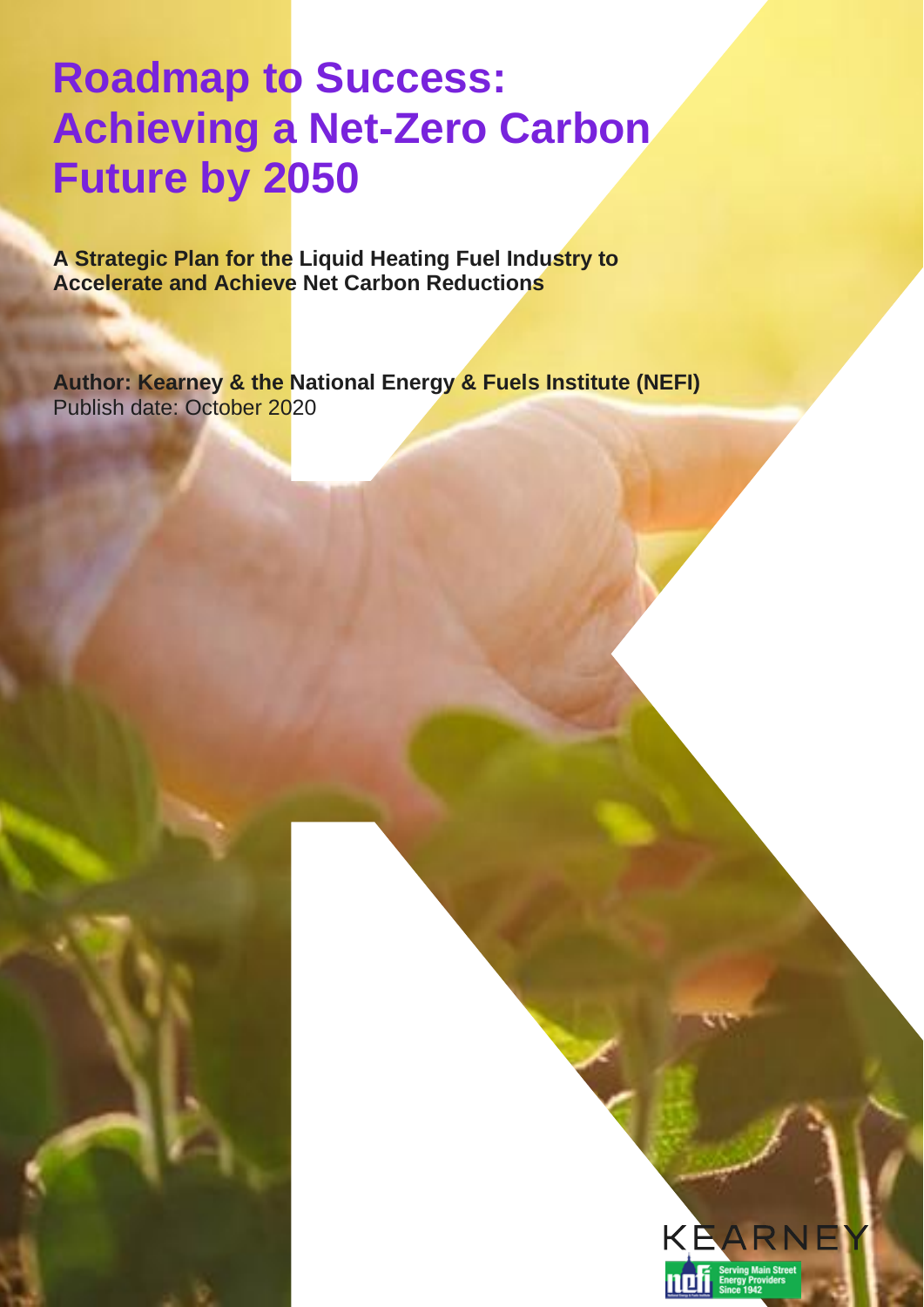# **Roadmap to Success: Achieving a Net-Zero Carbon Future by 2050**

**A Strategic Plan for the Liquid Heating Fuel Industry to Accelerate and Achieve Net Carbon Reductions**

**Author: Kearney & the National Energy & Fuels Institute (NEFI)** Publish date: October 2020

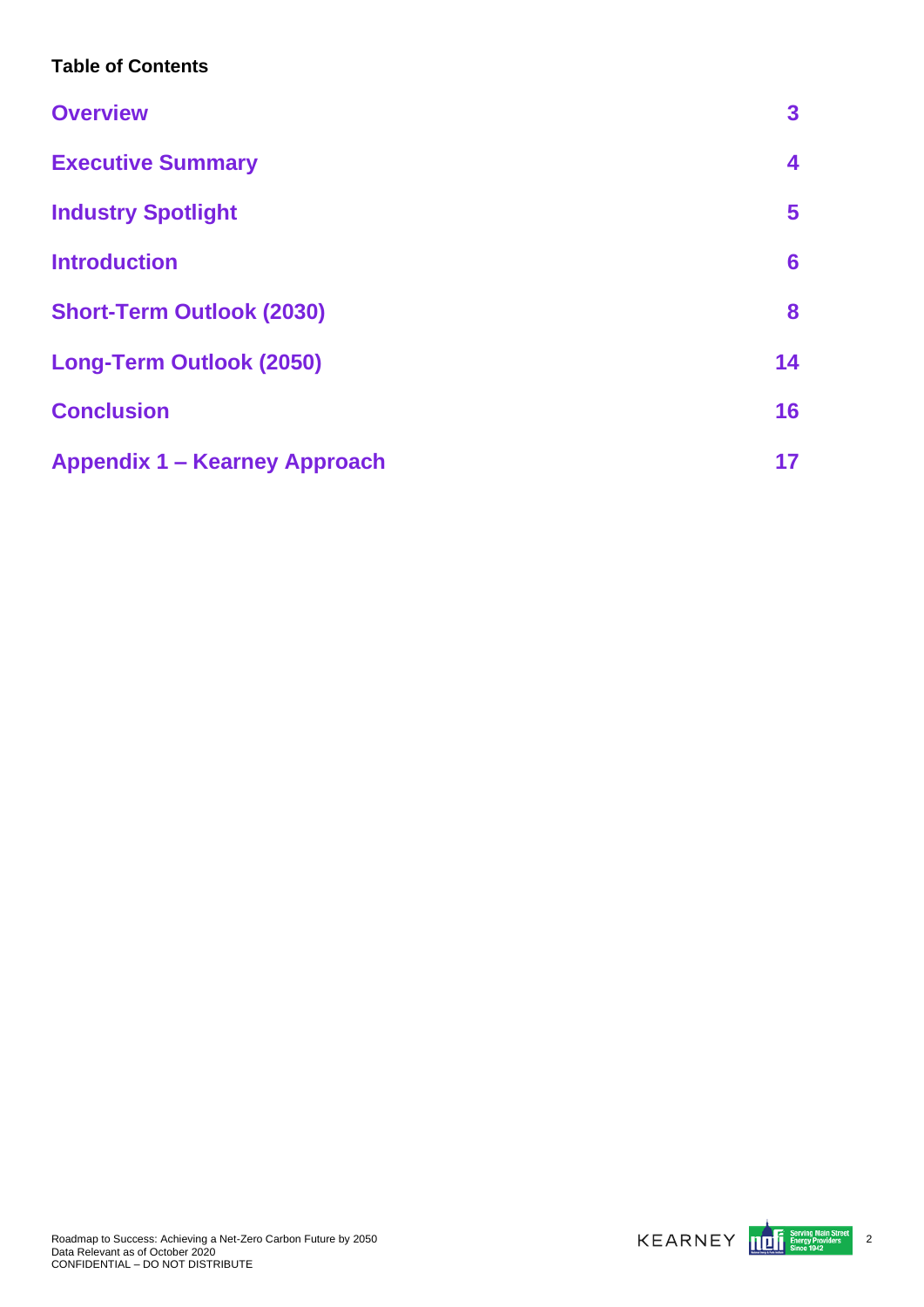## **Table of Contents**

| <b>Overview</b>                      | 3  |
|--------------------------------------|----|
| <b>Executive Summary</b>             | 4  |
| <b>Industry Spotlight</b>            | 5  |
| <b>Introduction</b>                  | 6  |
| <b>Short-Term Outlook (2030)</b>     | 8  |
| <b>Long-Term Outlook (2050)</b>      | 14 |
| <b>Conclusion</b>                    | 16 |
| <b>Appendix 1 - Kearney Approach</b> | 17 |



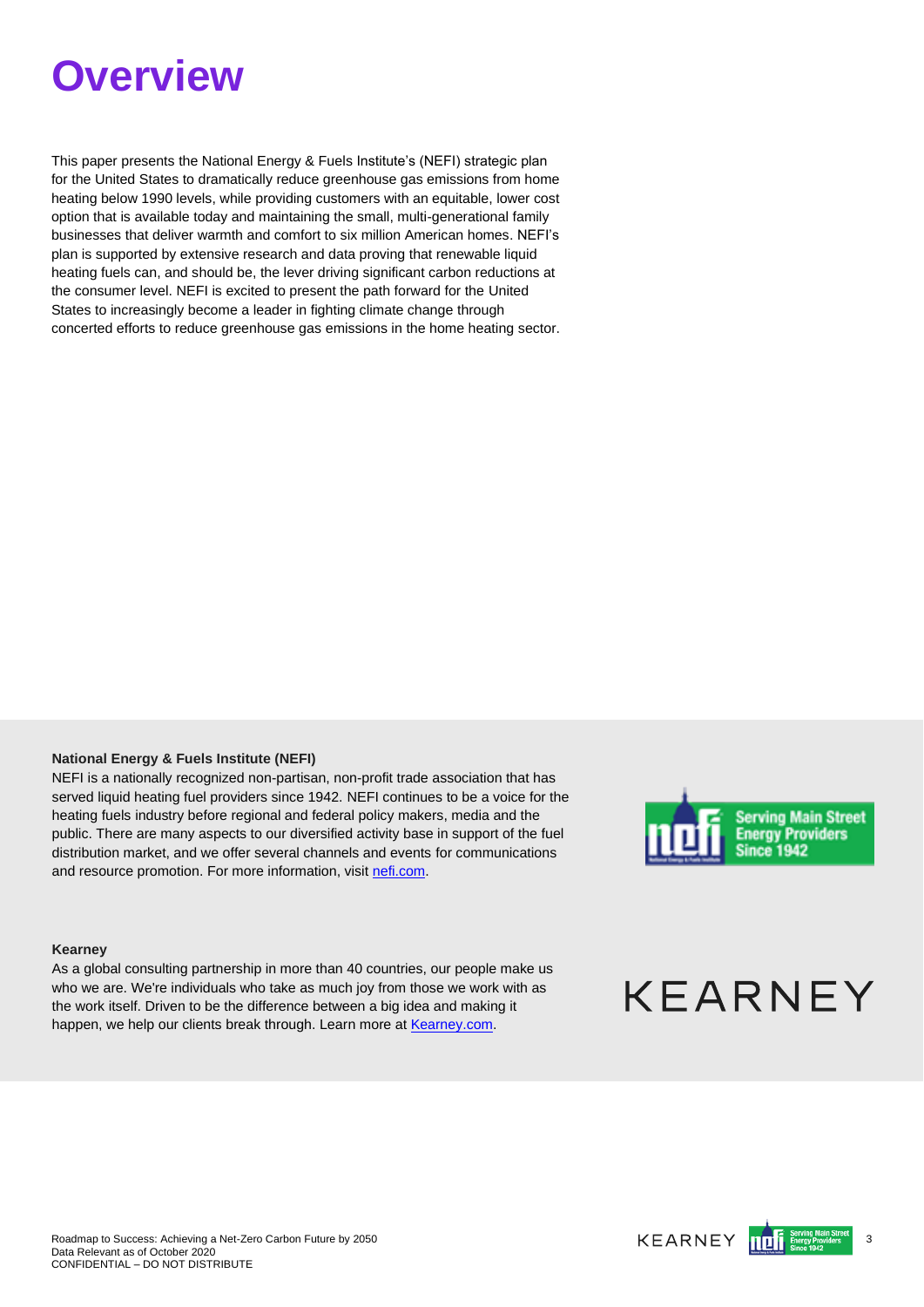# <span id="page-2-0"></span>**Overview**

This paper presents the National Energy & Fuels Institute's (NEFI) strategic plan for the United States to dramatically reduce greenhouse gas emissions from home heating below 1990 levels, while providing customers with an equitable, lower cost option that is available today and maintaining the small, multi-generational family businesses that deliver warmth and comfort to six million American homes. NEFI's plan is supported by extensive research and data proving that renewable liquid heating fuels can, and should be, the lever driving significant carbon reductions at the consumer level. NEFI is excited to present the path forward for the United States to increasingly become a leader in fighting climate change through concerted efforts to reduce greenhouse gas emissions in the home heating sector.

### **National Energy & Fuels Institute (NEFI)**

NEFI is a nationally recognized non-partisan, non-profit trade association that has served liquid heating fuel providers since 1942. NEFI continues to be a voice for the heating fuels industry before regional and federal policy makers, media and the public. There are many aspects to our diversified activity base in support of the fuel distribution market, and we offer several channels and events for communications and resource promotion. For more information, visit [nefi.com.](https://atkearney-my.sharepoint.com/personal/ikopyl01_atkearney_com/Documents/NEFI%20Proposal/11_White%20Paper/nefi.com)



#### **Kearney**

As a global consulting partnership in more than 40 countries, our people make us who we are. We're individuals who take as much joy from those we work with as the work itself. Driven to be the difference between a big idea and making it happen, we help our clients break through. Learn more a[t Kearney.com.](https://atkearney-my.sharepoint.com/personal/ikopyl01_atkearney_com/Documents/NEFI%20Proposal/11_White%20Paper/Kearney.com)

# **KEARNEY**

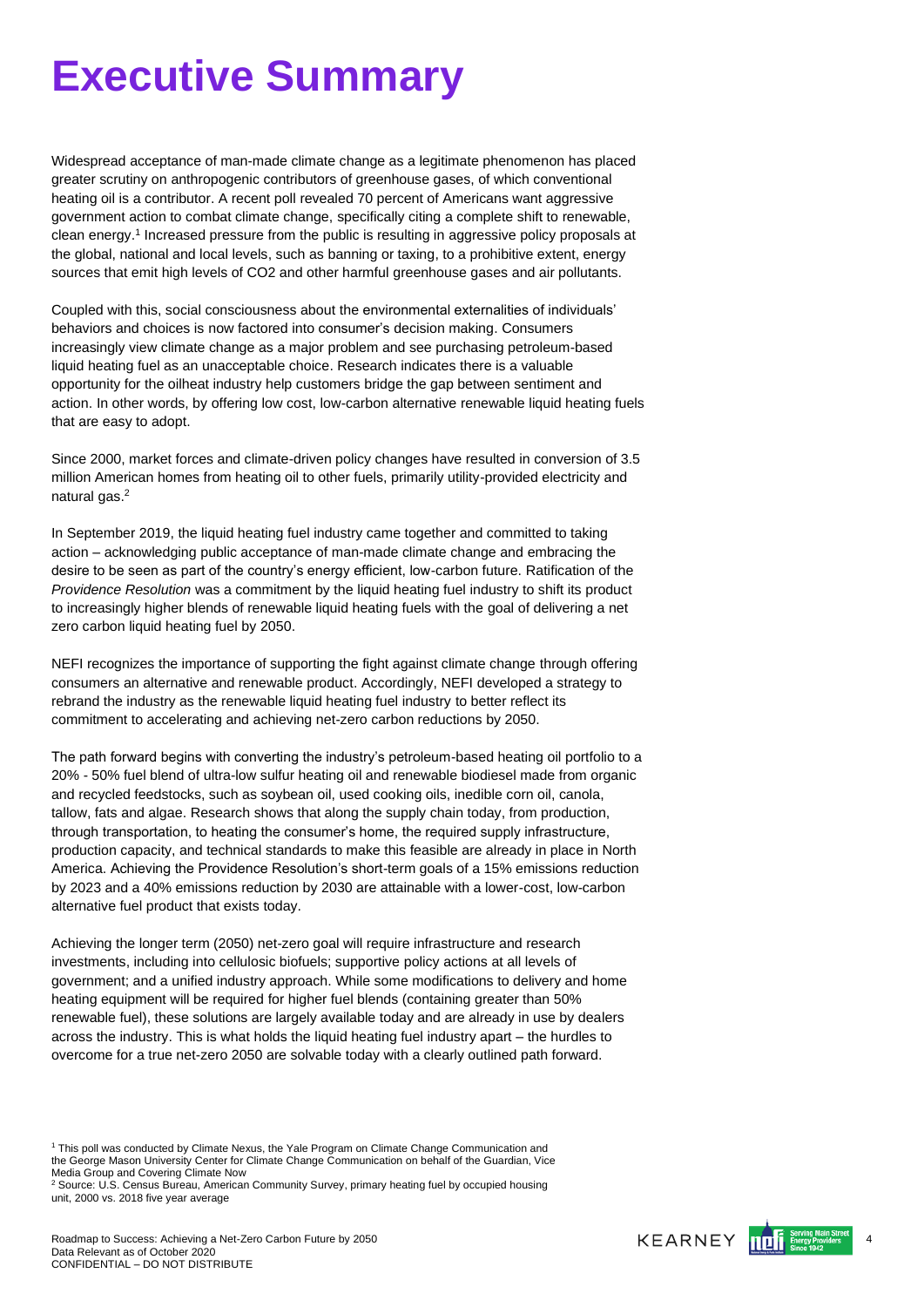# <span id="page-3-0"></span>**Executive Summary**

Widespread acceptance of man-made climate change as a legitimate phenomenon has placed greater scrutiny on anthropogenic contributors of greenhouse gases, of which conventional heating oil is a contributor. A recent poll revealed 70 percent of Americans want aggressive government action to combat climate change, specifically citing a complete shift to renewable, clean energy. 1 Increased pressure from the public is resulting in aggressive policy proposals at the global, national and local levels, such as banning or taxing, to a prohibitive extent, energy sources that emit high levels of CO2 and other harmful greenhouse gases and air pollutants.

Coupled with this, social consciousness about the environmental externalities of individuals' behaviors and choices is now factored into consumer's decision making. Consumers increasingly view climate change as a major problem and see purchasing petroleum-based liquid heating fuel as an unacceptable choice. Research indicates there is a valuable opportunity for the oilheat industry help customers bridge the gap between sentiment and action. In other words, by offering low cost, low-carbon alternative renewable liquid heating fuels that are easy to adopt.

Since 2000, market forces and climate-driven policy changes have resulted in conversion of 3.5 million American homes from heating oil to other fuels, primarily utility-provided electricity and natural gas.<sup>2</sup>

In September 2019, the liquid heating fuel industry came together and committed to taking action – acknowledging public acceptance of man-made climate change and embracing the desire to be seen as part of the country's energy efficient, low-carbon future. Ratification of the *Providence Resolution* was a commitment by the liquid heating fuel industry to shift its product to increasingly higher blends of renewable liquid heating fuels with the goal of delivering a net zero carbon liquid heating fuel by 2050.

NEFI recognizes the importance of supporting the fight against climate change through offering consumers an alternative and renewable product. Accordingly, NEFI developed a strategy to rebrand the industry as the renewable liquid heating fuel industry to better reflect its commitment to accelerating and achieving net-zero carbon reductions by 2050.

The path forward begins with converting the industry's petroleum-based heating oil portfolio to a 20% - 50% fuel blend of ultra-low sulfur heating oil and renewable biodiesel made from organic and recycled feedstocks, such as soybean oil, used cooking oils, inedible corn oil, canola, tallow, fats and algae. Research shows that along the supply chain today, from production, through transportation, to heating the consumer's home, the required supply infrastructure, production capacity, and technical standards to make this feasible are already in place in North America. Achieving the Providence Resolution's short-term goals of a 15% emissions reduction by 2023 and a 40% emissions reduction by 2030 are attainable with a lower-cost, low-carbon alternative fuel product that exists today.

Achieving the longer term (2050) net-zero goal will require infrastructure and research investments, including into cellulosic biofuels; supportive policy actions at all levels of government; and a unified industry approach. While some modifications to delivery and home heating equipment will be required for higher fuel blends (containing greater than 50% renewable fuel), these solutions are largely available today and are already in use by dealers across the industry. This is what holds the liquid heating fuel industry apart – the hurdles to overcome for a true net-zero 2050 are solvable today with a clearly outlined path forward.



<sup>1</sup> This poll was conducted by Climate Nexus, the Yale Program on Climate Change Communication and the George Mason University Center for Climate Change Communication on behalf of the Guardian, Vice Media Group and Covering Climate Now

<sup>2</sup> Source: U.S. Census Bureau, American Community Survey, primary heating fuel by occupied housing unit, 2000 vs. 2018 five year average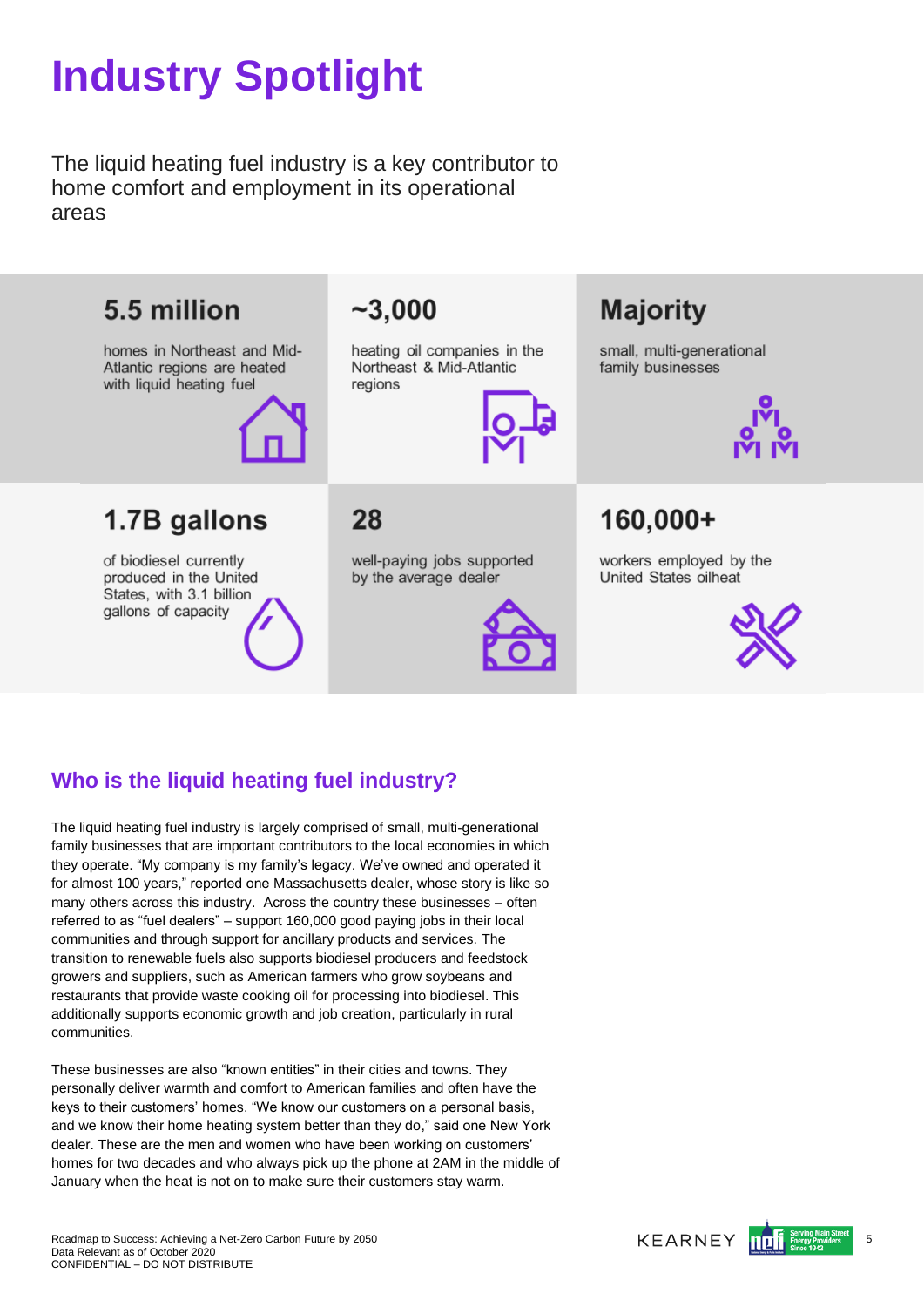# <span id="page-4-0"></span>**Industry Spotlight**

The liquid heating fuel industry is a key contributor to home comfort and employment in its operational areas



# **Who is the liquid heating fuel industry?**

The liquid heating fuel industry is largely comprised of small, multi-generational family businesses that are important contributors to the local economies in which they operate. "My company is my family's legacy. We've owned and operated it for almost 100 years," reported one Massachusetts dealer, whose story is like so many others across this industry. Across the country these businesses – often referred to as "fuel dealers" – support 160,000 good paying jobs in their local communities and through support for ancillary products and services. The transition to renewable fuels also supports biodiesel producers and feedstock growers and suppliers, such as American farmers who grow soybeans and restaurants that provide waste cooking oil for processing into biodiesel. This additionally supports economic growth and job creation, particularly in rural communities.

These businesses are also "known entities" in their cities and towns. They personally deliver warmth and comfort to American families and often have the keys to their customers' homes. "We know our customers on a personal basis, and we know their home heating system better than they do," said one New York dealer. These are the men and women who have been working on customers' homes for two decades and who always pick up the phone at 2AM in the middle of January when the heat is not on to make sure their customers stay warm.

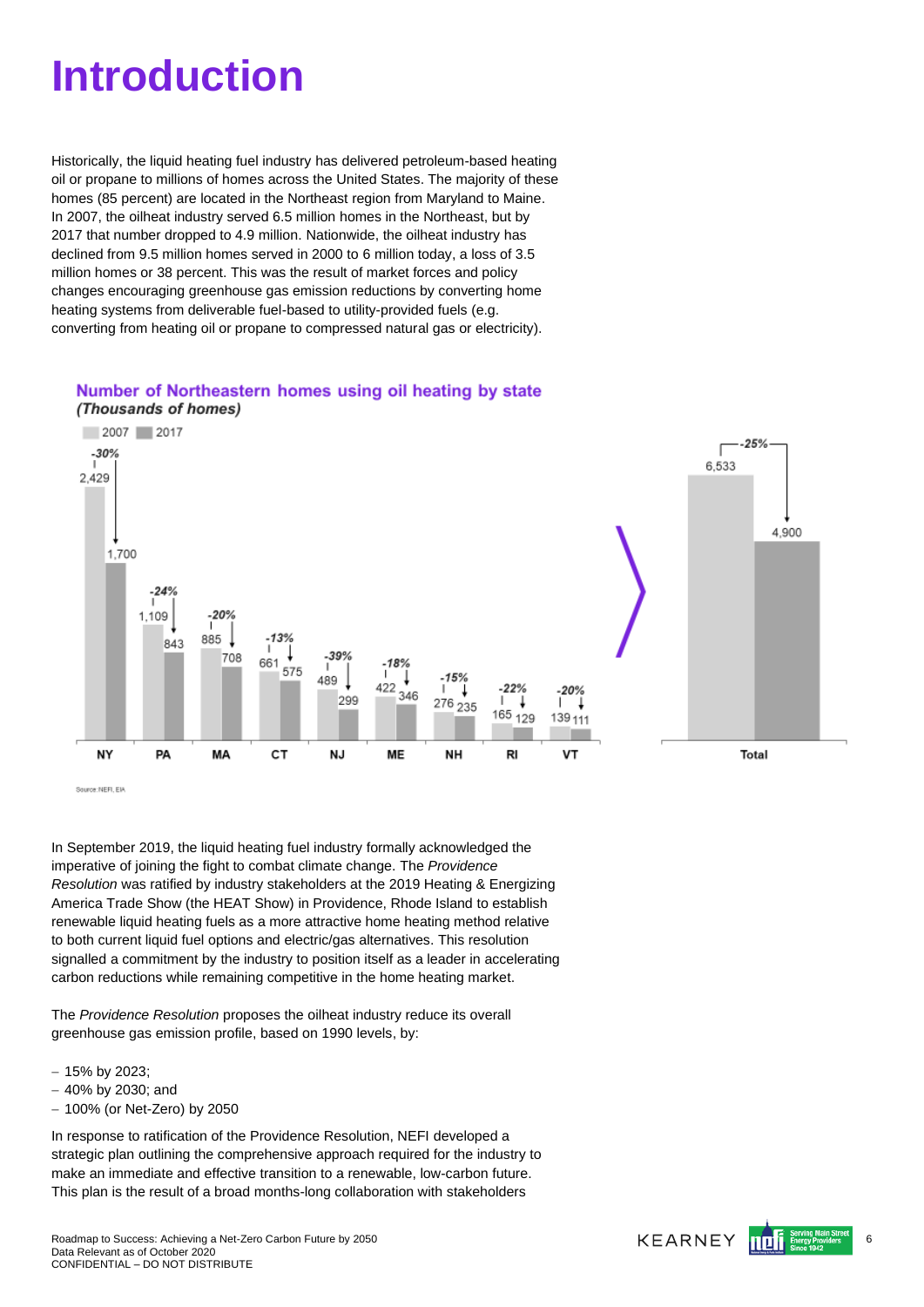# <span id="page-5-0"></span>**Introduction**

Historically, the liquid heating fuel industry has delivered petroleum-based heating oil or propane to millions of homes across the United States. The majority of these homes (85 percent) are located in the Northeast region from Maryland to Maine. In 2007, the oilheat industry served 6.5 million homes in the Northeast, but by 2017 that number dropped to 4.9 million. Nationwide, the oilheat industry has declined from 9.5 million homes served in 2000 to 6 million today, a loss of 3.5 million homes or 38 percent. This was the result of market forces and policy changes encouraging greenhouse gas emission reductions by converting home heating systems from deliverable fuel-based to utility-provided fuels (e.g. converting from heating oil or propane to compressed natural gas or electricity).

### Number of Northeastern homes using oil heating by state



Source: NEFI, EM

In September 2019, the liquid heating fuel industry formally acknowledged the imperative of joining the fight to combat climate change. The *Providence Resolution* was ratified by industry stakeholders at the 2019 Heating & Energizing America Trade Show (the HEAT Show) in Providence, Rhode Island to establish renewable liquid heating fuels as a more attractive home heating method relative to both current liquid fuel options and electric/gas alternatives. This resolution signalled a commitment by the industry to position itself as a leader in accelerating carbon reductions while remaining competitive in the home heating market.

The *Providence Resolution* proposes the oilheat industry reduce its overall greenhouse gas emission profile, based on 1990 levels, by:

- − 15% by 2023;
- − 40% by 2030; and
- − 100% (or Net-Zero) by 2050

In response to ratification of the Providence Resolution, NEFI developed a strategic plan outlining the comprehensive approach required for the industry to make an immediate and effective transition to a renewable, low-carbon future. This plan is the result of a broad months-long collaboration with stakeholders

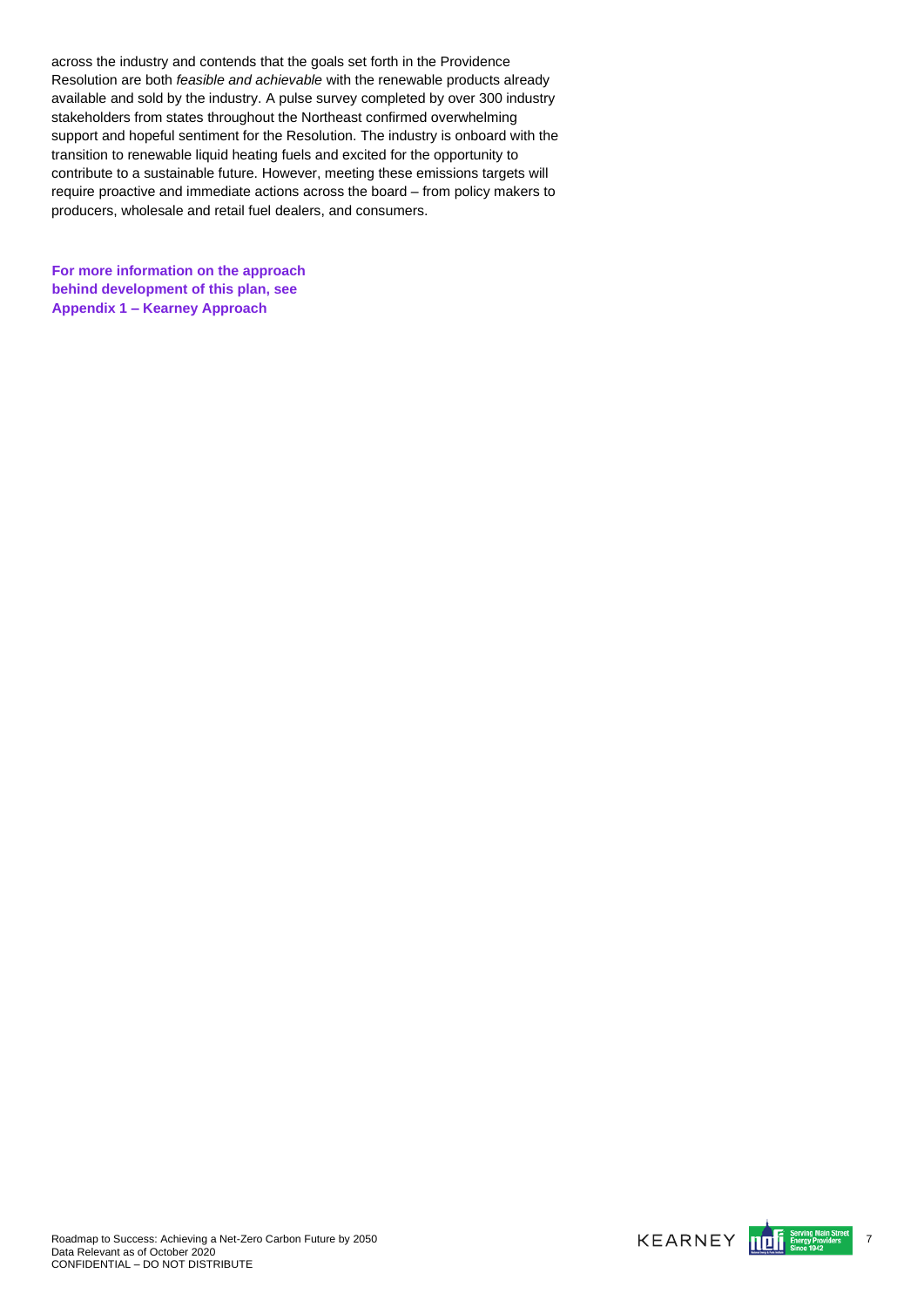across the industry and contends that the goals set forth in the Providence Resolution are both *feasible and achievable* with the renewable products already available and sold by the industry. A pulse survey completed by over 300 industry stakeholders from states throughout the Northeast confirmed overwhelming support and hopeful sentiment for the Resolution. The industry is onboard with the transition to renewable liquid heating fuels and excited for the opportunity to contribute to a sustainable future. However, meeting these emissions targets will require proactive and immediate actions across the board – from policy makers to producers, wholesale and retail fuel dealers, and consumers.

**For more information on the approach behind development of this plan, see Appendix 1 – Kearney Approach**

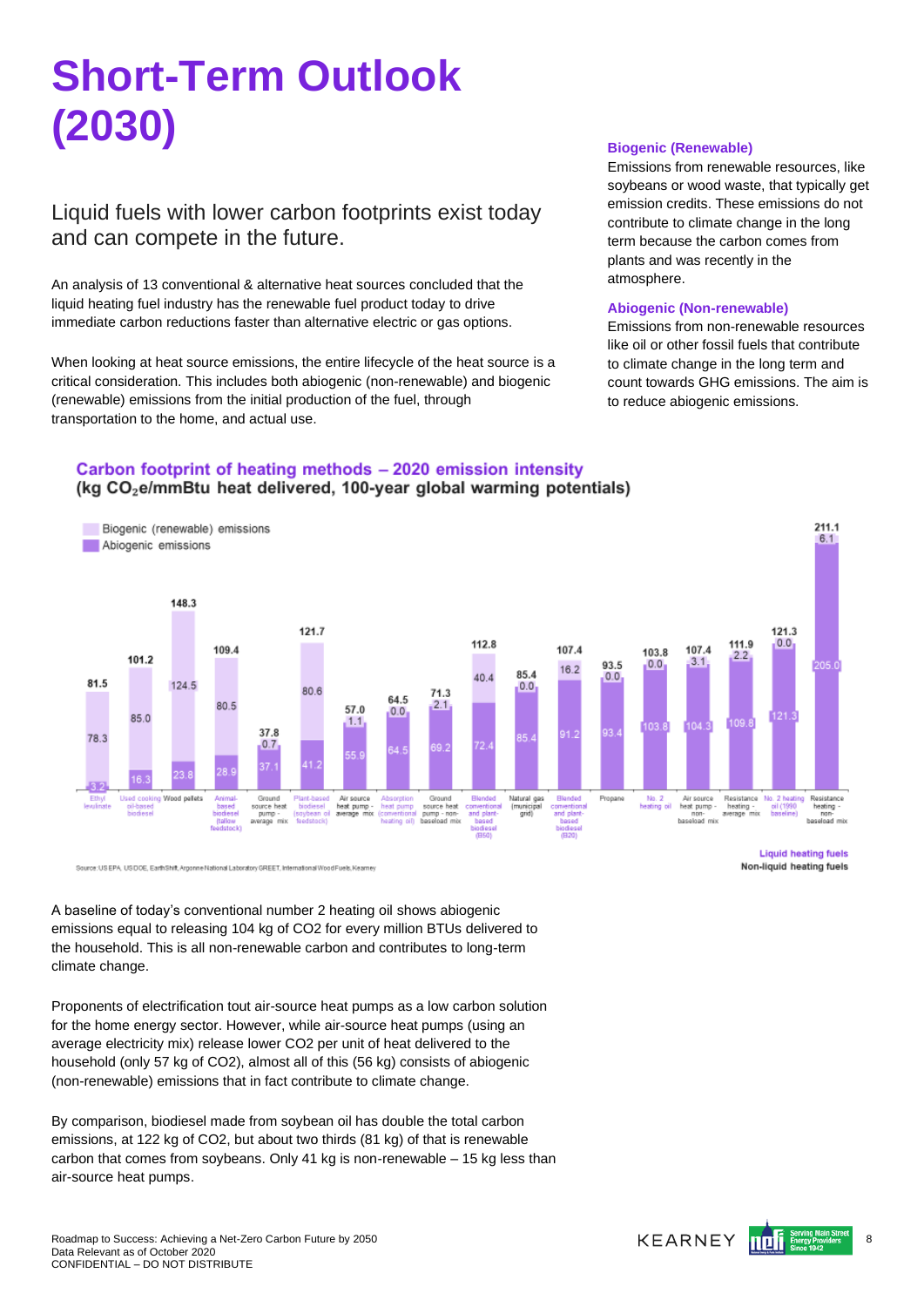# <span id="page-7-0"></span>**Short-Term Outlook (2030)**

## Liquid fuels with lower carbon footprints exist today and can compete in the future.

An analysis of 13 conventional & alternative heat sources concluded that the liquid heating fuel industry has the renewable fuel product today to drive immediate carbon reductions faster than alternative electric or gas options.

When looking at heat source emissions, the entire lifecycle of the heat source is a critical consideration. This includes both abiogenic (non-renewable) and biogenic (renewable) emissions from the initial production of the fuel, through transportation to the home, and actual use.

Carbon footprint of heating methods - 2020 emission intensity

80.6

57.0

 $1.1$ 

Air source<br>heat pump

 $0<sub>0</sub>$ 

### **Biogenic (Renewable)**

Emissions from renewable resources, like soybeans or wood waste, that typically get emission credits. These emissions do not contribute to climate change in the long term because the carbon comes from plants and was recently in the atmosphere.

#### **Abiogenic (Non-renewable)**

Emissions from non-renewable resources like oil or other fossil fuels that contribute to climate change in the long term and count towards GHG emissions. The aim is to reduce abiogenic emissions.

#### (kg CO<sub>2</sub>e/mmBtu heat delivered, 100-year global warming potentials) Biogenic (renewable) emissions Abiogenic emissions 148.3 121.7 121.3 112.8 111.9 107.4 109.4 107.4 103.8  $101.2$ 22  $3.1$ **935**  $0.0.$  $162$ 85.4  $0.0$

 $71.3$ 

 $2.1$ 

Ground<br>source heat<br>numn - non

 $ADA$ 

 $0<sup>0</sup>$ 

Natural gas<br>(municipal

Propan

No. 2<br>heating oil

Air source<br>heat pump

non-<br>hasaload mix

Source:USEPA\_USDOE\_EarthShift.ArgonneNational Laboratory GREET, International Wood Fuels. Keamer

(tal)

80.5

 $37.8$ 

 $0.7$ 

ource hea

averano mix

124.5

Wood pallet

81.5

78.3

 $85.0$ 

A baseline of today's conventional number 2 heating oil shows abiogenic emissions equal to releasing 104 kg of CO2 for every million BTUs delivered to the household. This is all non-renewable carbon and contributes to long-term climate change.

Proponents of electrification tout air-source heat pumps as a low carbon solution for the home energy sector. However, while air-source heat pumps (using an average electricity mix) release lower CO2 per unit of heat delivered to the household (only 57 kg of CO2), almost all of this (56 kg) consists of abiogenic (non-renewable) emissions that in fact contribute to climate change.

By comparison, biodiesel made from soybean oil has double the total carbon emissions, at 122 kg of CO2, but about two thirds (81 kg) of that is renewable carbon that comes from soybeans. Only 41 kg is non-renewable – 15 kg less than air-source heat pumps.

**Liquid heating fuels** Non-liquid heating fuels

Resistance<br>heating<br>average mix

 $0<sub>0</sub>$ 

211.1

 $6.1$ 

DOS.

Resistance<br>heating -<br>con-

hospload mix



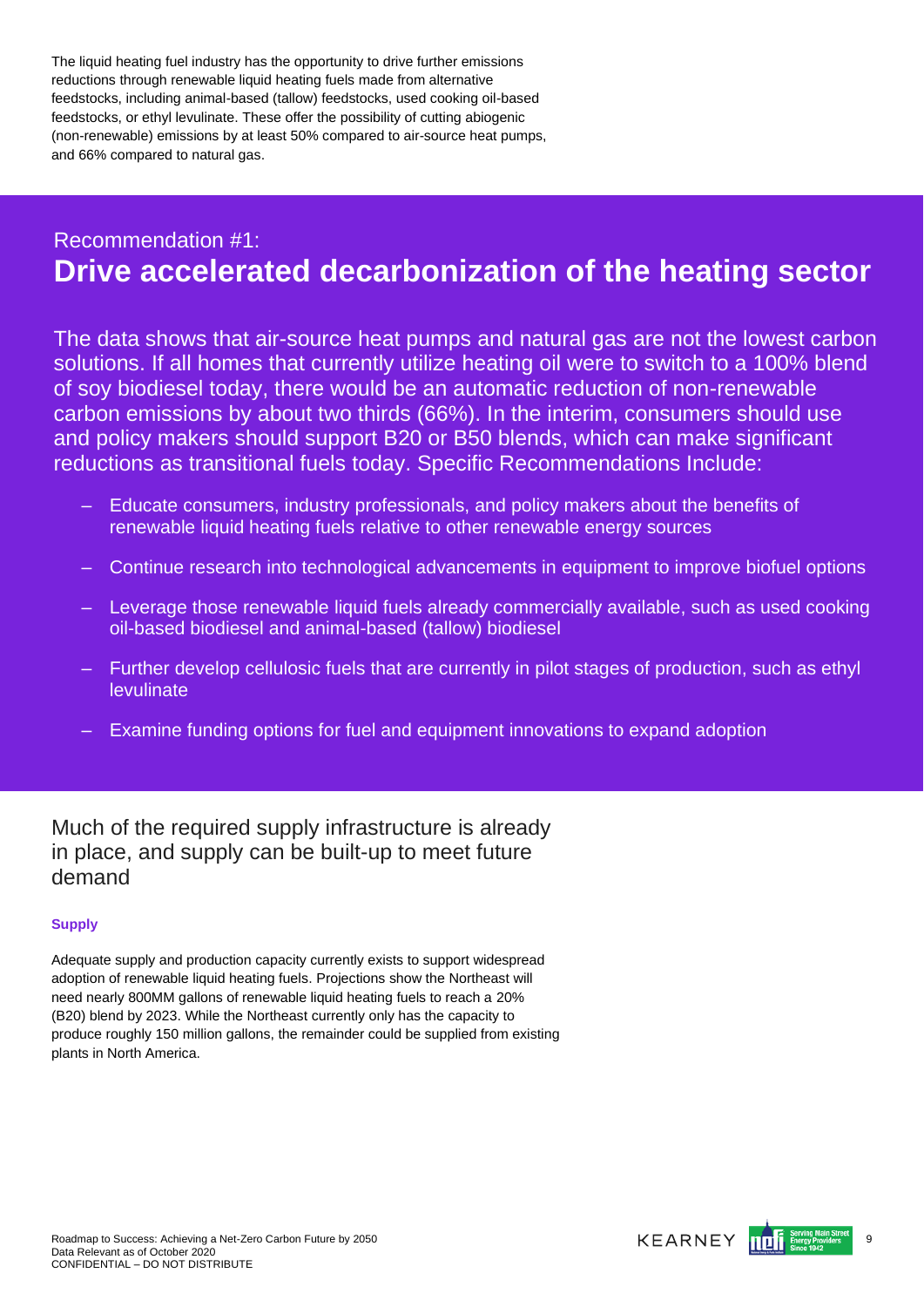The liquid heating fuel industry has the opportunity to drive further emissions reductions through renewable liquid heating fuels made from alternative feedstocks, including animal-based (tallow) feedstocks, used cooking oil-based feedstocks, or ethyl levulinate. These offer the possibility of cutting abiogenic (non-renewable) emissions by at least 50% compared to air-source heat pumps, and 66% compared to natural gas.

# Recommendation #1: **Drive accelerated decarbonization of the heating sector**

The data shows that air-source heat pumps and natural gas are not the lowest carbon solutions. If all homes that currently utilize heating oil were to switch to a 100% blend of soy biodiesel today, there would be an automatic reduction of non-renewable carbon emissions by about two thirds (66%). In the interim, consumers should use and policy makers should support B20 or B50 blends, which can make significant reductions as transitional fuels today. Specific Recommendations Include:

- Educate consumers, industry professionals, and policy makers about the benefits of renewable liquid heating fuels relative to other renewable energy sources
- Continue research into technological advancements in equipment to improve biofuel options
- Leverage those renewable liquid fuels already commercially available, such as used cooking oil-based biodiesel and animal-based (tallow) biodiesel
- Further develop cellulosic fuels that are currently in pilot stages of production, such as ethyl levulinate
- Examine funding options for fuel and equipment innovations to expand adoption

Much of the required supply infrastructure is already in place, and supply can be built-up to meet future demand

### **Supply**

Adequate supply and production capacity currently exists to support widespread adoption of renewable liquid heating fuels. Projections show the Northeast will need nearly 800MM gallons of renewable liquid heating fuels to reach a 20% (B20) blend by 2023. While the Northeast currently only has the capacity to produce roughly 150 million gallons, the remainder could be supplied from existing plants in North America.

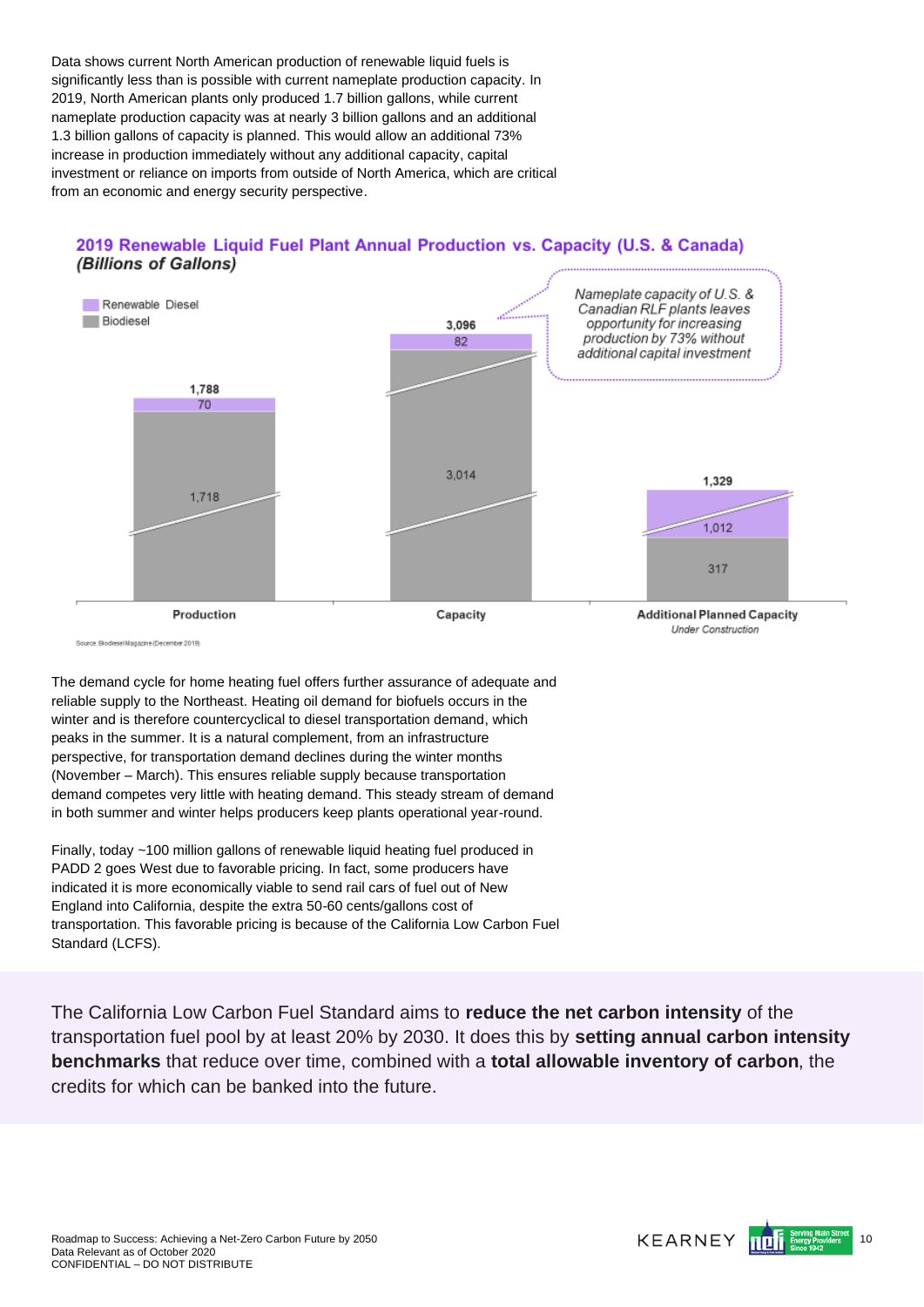Data shows current North American production of renewable liquid fuels is significantly less than is possible with current nameplate production capacity. In 2019, North American plants only produced 1.7 billion gallons, while current nameplate production capacity was at nearly 3 billion gallons and an additional 1.3 billion gallons of capacity is planned. This would allow an additional 73% increase in production immediately without any additional capacity, capital investment or reliance on imports from outside of North America, which are critical from an economic and energy security perspective.





Source: Rindless Ulacazine (Dacember 2019)

The demand cycle for home heating fuel offers further assurance of adequate and reliable supply to the Northeast. Heating oil demand for biofuels occurs in the winter and is therefore countercyclical to diesel transportation demand, which peaks in the summer. It is a natural complement, from an infrastructure perspective, for transportation demand declines during the winter months (November – March). This ensures reliable supply because transportation demand competes very little with heating demand. This steady stream of demand in both summer and winter helps producers keep plants operational year-round.

Finally, today ~100 million gallons of renewable liquid heating fuel produced in PADD 2 goes West due to favorable pricing. In fact, some producers have indicated it is more economically viable to send rail cars of fuel out of New England into California, despite the extra 50-60 cents/gallons cost of transportation. This favorable pricing is because of the California Low Carbon Fuel Standard (LCFS).

The California Low Carbon Fuel Standard aims to **reduce the net carbon intensity** of the transportation fuel pool by at least 20% by 2030. It does this by **setting annual carbon intensity benchmarks** that reduce over time, combined with a **total allowable inventory of carbon**, the credits for which can be banked into the future.

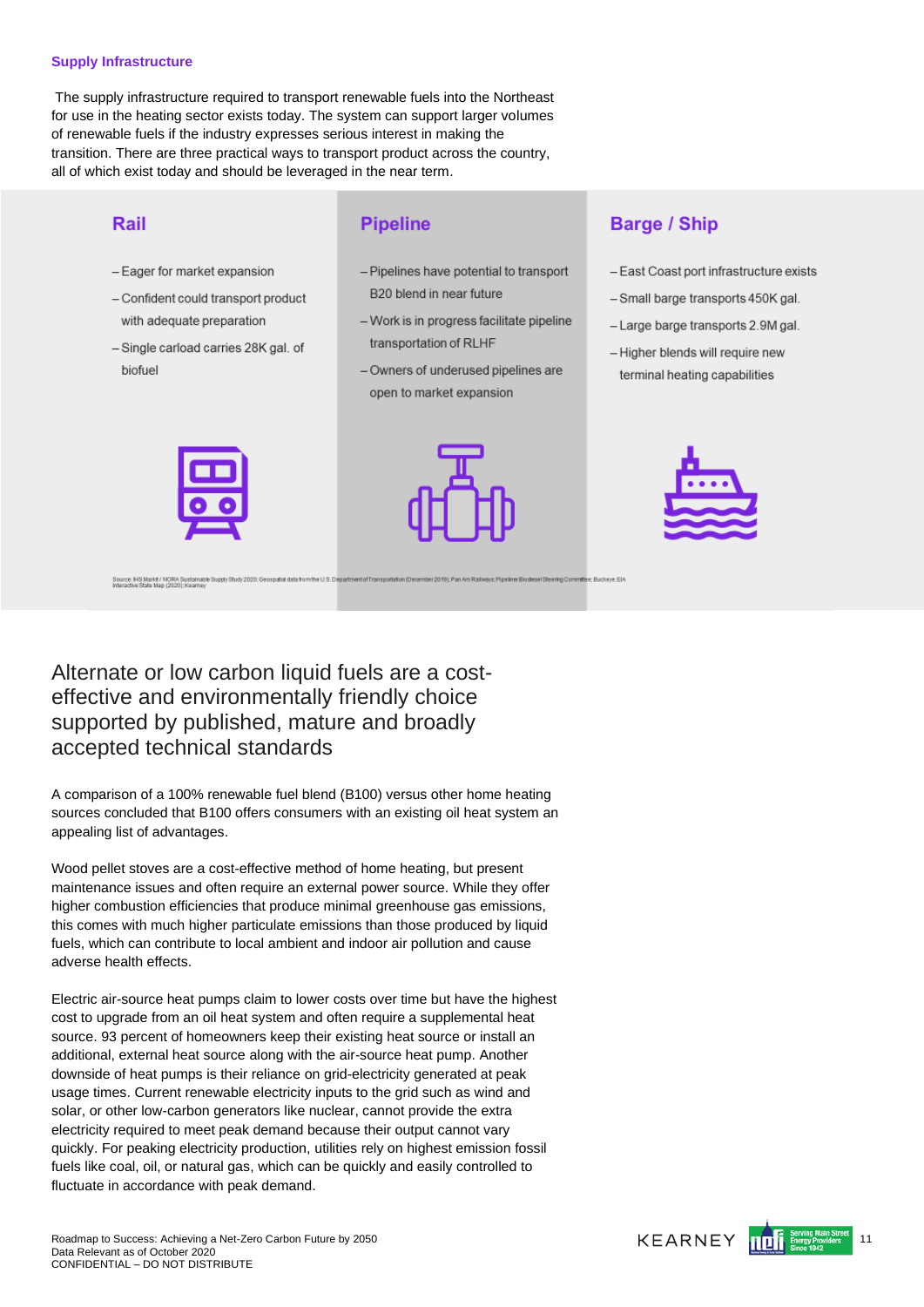#### **Supply Infrastructure**

The supply infrastructure required to transport renewable fuels into the Northeast for use in the heating sector exists today. The system can support larger volumes of renewable fuels if the industry expresses serious interest in making the transition. There are three practical ways to transport product across the country, all of which exist today and should be leveraged in the near term.

### Rail

- Eager for market expansion
- Confident could transport product with adequate preparation
- Single carload carries 28K gal. of biofuel

### **Pipeline**

- Pipelines have potential to transport B20 blend in near future
- Work is in progress facilitate pipeline transportation of RLHF
- Owners of underused pipelines are open to market expansion

# **Barge / Ship**

- East Coast port infrastructure exists
- Small barge transports 450K gal.
- Large barge transports 2.9M gal.
- Higher blends will require new terminal heating capabilities



Source: IHS Markit / NORA Sustainable Supply Study 2020; Geospatial data fro<br>Interactive State Man (2020): Keamey





Alternate or low carbon liquid fuels are a costeffective and environmentally friendly choice supported by published, mature and broadly accepted technical standards

A comparison of a 100% renewable fuel blend (B100) versus other home heating sources concluded that B100 offers consumers with an existing oil heat system an appealing list of advantages.

Wood pellet stoves are a cost-effective method of home heating, but present maintenance issues and often require an external power source. While they offer higher combustion efficiencies that produce minimal greenhouse gas emissions, this comes with much higher particulate emissions than those produced by liquid fuels, which can contribute to local ambient and indoor air pollution and cause adverse health effects.

Electric air-source heat pumps claim to lower costs over time but have the highest cost to upgrade from an oil heat system and often require a supplemental heat source. 93 percent of homeowners keep their existing heat source or install an additional, external heat source along with the air-source heat pump. Another downside of heat pumps is their reliance on grid-electricity generated at peak usage times. Current renewable electricity inputs to the grid such as wind and solar, or other low-carbon generators like nuclear, cannot provide the extra electricity required to meet peak demand because their output cannot vary quickly. For peaking electricity production, utilities rely on highest emission fossil fuels like coal, oil, or natural gas, which can be quickly and easily controlled to fluctuate in accordance with peak demand.

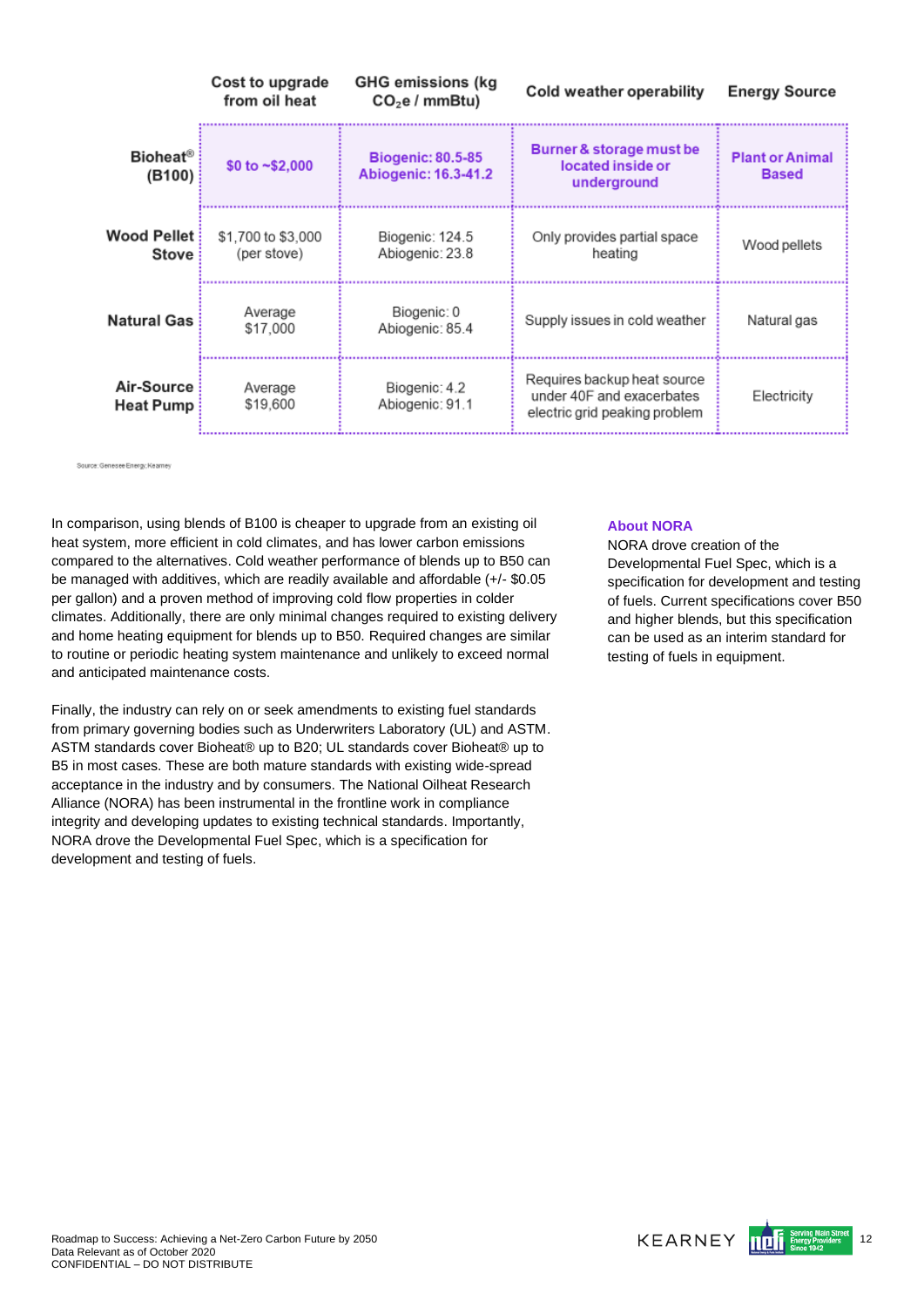|                                | Cost to upgrade<br>from oil heat  | <b>GHG emissions (kg</b><br>CO <sub>2</sub> e / mmBtu | <b>Cold weather operability</b>                                                           | <b>Energy Source</b>                   |
|--------------------------------|-----------------------------------|-------------------------------------------------------|-------------------------------------------------------------------------------------------|----------------------------------------|
| <b>Bioheat®</b><br>(B100)      | \$0 to $\sim$ \$2,000             | <b>Biogenic: 80.5-85</b><br>Abiogenic: 16.3-41.2      | Burner & storage must be<br>located inside or<br>underground                              | <b>Plant or Animal</b><br><b>Based</b> |
| <b>Wood Pellet</b><br>Stove    | \$1,700 to \$3,000<br>(per stove) | Biogenic: 124.5<br>Abiogenic: 23.8                    | Only provides partial space<br>heating                                                    | Wood pellets                           |
| <b>Natural Gas</b>             | Average<br>\$17,000               | Biogenic: 0<br>Abiogenic: 85.4                        | Supply issues in cold weather                                                             | Natural gas                            |
| Air-Source<br><b>Heat Pump</b> | Average<br>\$19,600               | Biogenic: 4.2<br>Abiogenic: 91.1                      | Requires backup heat source<br>under 40F and exacerbates<br>electric grid peaking problem | Electricity                            |

Source: Genesee Energy; Keamey

In comparison, using blends of B100 is cheaper to upgrade from an existing oil heat system, more efficient in cold climates, and has lower carbon emissions compared to the alternatives. Cold weather performance of blends up to B50 can be managed with additives, which are readily available and affordable (+/- \$0.05 per gallon) and a proven method of improving cold flow properties in colder climates. Additionally, there are only minimal changes required to existing delivery and home heating equipment for blends up to B50. Required changes are similar to routine or periodic heating system maintenance and unlikely to exceed normal and anticipated maintenance costs.

Finally, the industry can rely on or seek amendments to existing fuel standards from primary governing bodies such as Underwriters Laboratory (UL) and ASTM. ASTM standards cover Bioheat® up to B20; UL standards cover Bioheat® up to B5 in most cases. These are both mature standards with existing wide-spread acceptance in the industry and by consumers. The National Oilheat Research Alliance (NORA) has been instrumental in the frontline work in compliance integrity and developing updates to existing technical standards. Importantly, NORA drove the Developmental Fuel Spec, which is a specification for development and testing of fuels.

### **About NORA**

NORA drove creation of the Developmental Fuel Spec, which is a specification for development and testing of fuels. Current specifications cover B50 and higher blends, but this specification can be used as an interim standard for testing of fuels in equipment.

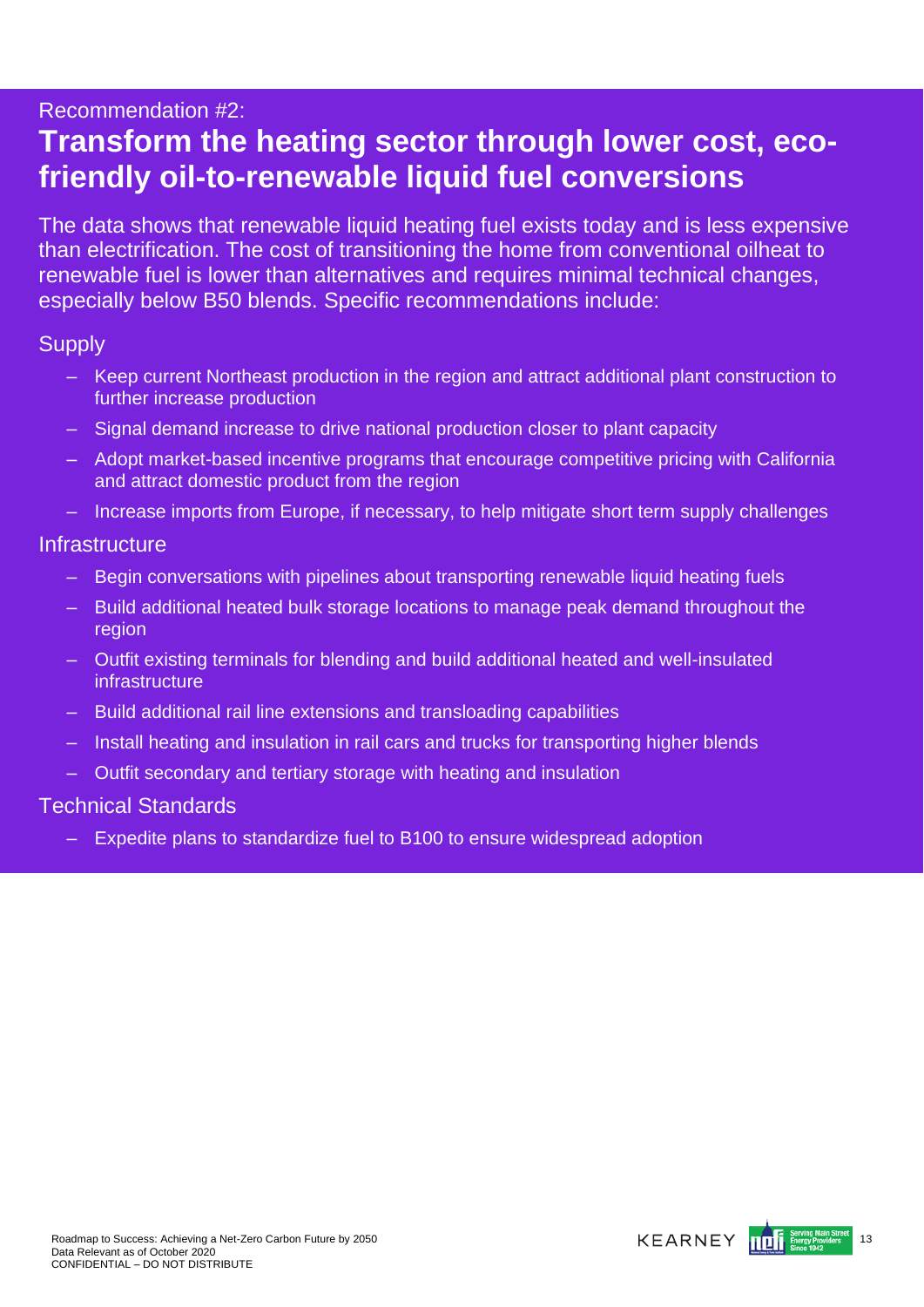## Recommendation #2:

# **Transform the heating sector through lower cost, ecofriendly oil-to-renewable liquid fuel conversions**

The data shows that renewable liquid heating fuel exists today and is less expensive than electrification. The cost of transitioning the home from conventional oilheat to renewable fuel is lower than alternatives and requires minimal technical changes, especially below B50 blends. Specific recommendations include:

## **Supply**

- Keep current Northeast production in the region and attract additional plant construction to further increase production
- Signal demand increase to drive national production closer to plant capacity
- Adopt market-based incentive programs that encourage competitive pricing with California and attract domestic product from the region
- Increase imports from Europe, if necessary, to help mitigate short term supply challenges

## **Infrastructure**

- Begin conversations with pipelines about transporting renewable liquid heating fuels
- Build additional heated bulk storage locations to manage peak demand throughout the region
- Outfit existing terminals for blending and build additional heated and well-insulated infrastructure
- Build additional rail line extensions and transloading capabilities
- Install heating and insulation in rail cars and trucks for transporting higher blends
- Outfit secondary and tertiary storage with heating and insulation

## Technical Standards

– Expedite plans to standardize fuel to B100 to ensure widespread adoption

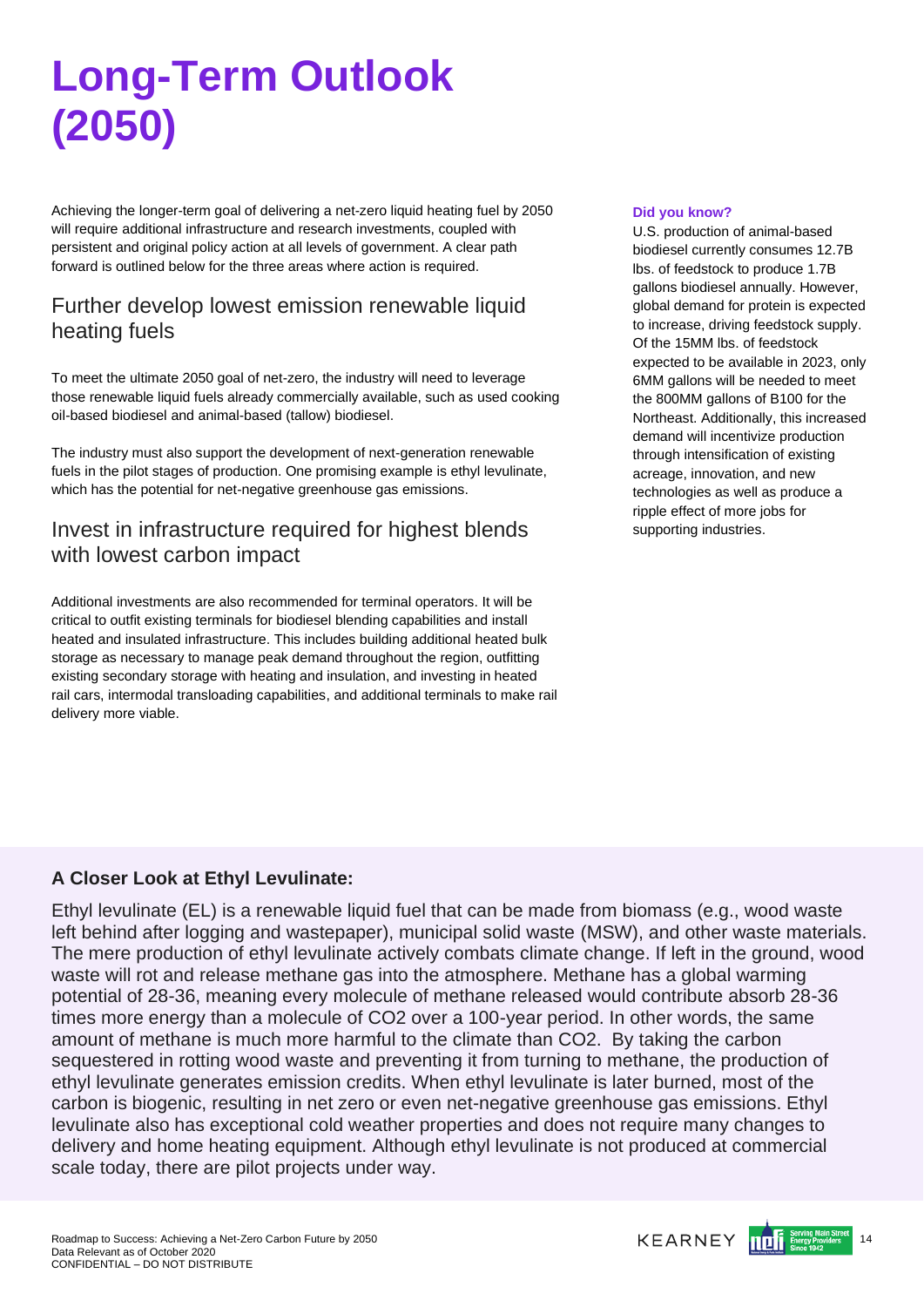# <span id="page-13-0"></span>**Long-Term Outlook (2050)**

Achieving the longer-term goal of delivering a net-zero liquid heating fuel by 2050 will require additional infrastructure and research investments, coupled with persistent and original policy action at all levels of government. A clear path forward is outlined below for the three areas where action is required.

# Further develop lowest emission renewable liquid heating fuels

To meet the ultimate 2050 goal of net-zero, the industry will need to leverage those renewable liquid fuels already commercially available, such as used cooking oil-based biodiesel and animal-based (tallow) biodiesel.

The industry must also support the development of next-generation renewable fuels in the pilot stages of production. One promising example is ethyl levulinate, which has the potential for net-negative greenhouse gas emissions.

## Invest in infrastructure required for highest blends with lowest carbon impact

Additional investments are also recommended for terminal operators. It will be critical to outfit existing terminals for biodiesel blending capabilities and install heated and insulated infrastructure. This includes building additional heated bulk storage as necessary to manage peak demand throughout the region, outfitting existing secondary storage with heating and insulation, and investing in heated rail cars, intermodal transloading capabilities, and additional terminals to make rail delivery more viable.

### **Did you know?**

U.S. production of animal-based biodiesel currently consumes 12.7B lbs. of feedstock to produce 1.7B gallons biodiesel annually. However, global demand for protein is expected to increase, driving feedstock supply. Of the 15MM lbs. of feedstock expected to be available in 2023, only 6MM gallons will be needed to meet the 800MM gallons of B100 for the Northeast. Additionally, this increased demand will incentivize production through intensification of existing acreage, innovation, and new technologies as well as produce a ripple effect of more jobs for supporting industries.

## **A Closer Look at Ethyl Levulinate:**

Ethyl levulinate (EL) is a renewable liquid fuel that can be made from biomass (e.g., wood waste left behind after logging and wastepaper), municipal solid waste (MSW), and other waste materials. The mere production of ethyl levulinate actively combats climate change. If left in the ground, wood waste will rot and release methane gas into the atmosphere. Methane has a global warming potential of 28-36, meaning every molecule of methane released would contribute absorb 28-36 times more energy than a molecule of CO2 over a 100-year period. In other words, the same amount of methane is much more harmful to the climate than CO2. By taking the carbon sequestered in rotting wood waste and preventing it from turning to methane, the production of ethyl levulinate generates emission credits. When ethyl levulinate is later burned, most of the carbon is biogenic, resulting in net zero or even net-negative greenhouse gas emissions. Ethyl levulinate also has exceptional cold weather properties and does not require many changes to delivery and home heating equipment. Although ethyl levulinate is not produced at commercial scale today, there are pilot projects under way.

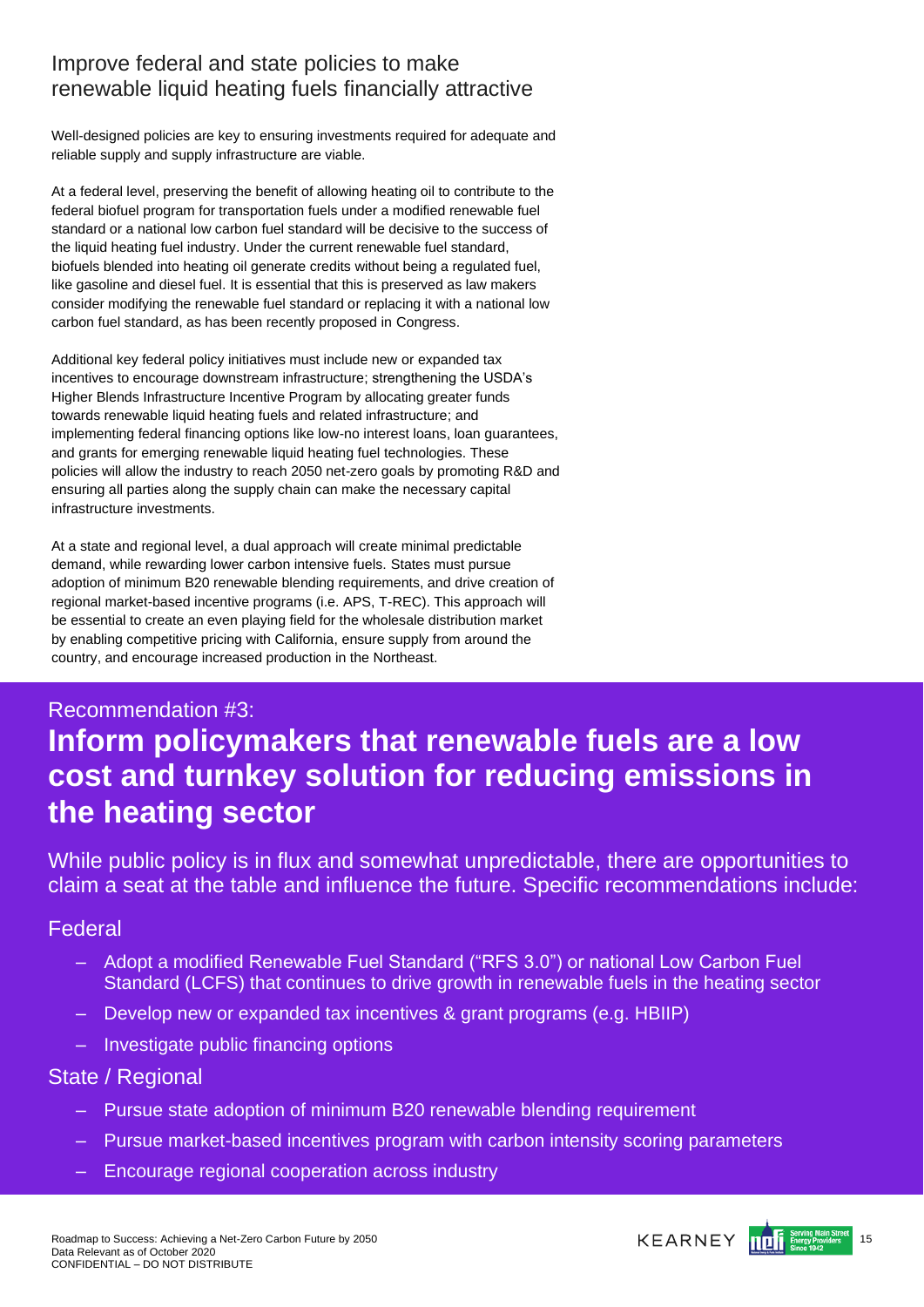## Improve federal and state policies to make renewable liquid heating fuels financially attractive

Well-designed policies are key to ensuring investments required for adequate and reliable supply and supply infrastructure are viable.

At a federal level, preserving the benefit of allowing heating oil to contribute to the federal biofuel program for transportation fuels under a modified renewable fuel standard or a national low carbon fuel standard will be decisive to the success of the liquid heating fuel industry. Under the current renewable fuel standard, biofuels blended into heating oil generate credits without being a regulated fuel, like gasoline and diesel fuel. It is essential that this is preserved as law makers consider modifying the renewable fuel standard or replacing it with a national low carbon fuel standard, as has been recently proposed in Congress.

Additional key federal policy initiatives must include new or expanded tax incentives to encourage downstream infrastructure; strengthening the USDA's Higher Blends Infrastructure Incentive Program by allocating greater funds towards renewable liquid heating fuels and related infrastructure; and implementing federal financing options like low-no interest loans, loan guarantees, and grants for emerging renewable liquid heating fuel technologies. These policies will allow the industry to reach 2050 net-zero goals by promoting R&D and ensuring all parties along the supply chain can make the necessary capital infrastructure investments.

At a state and regional level, a dual approach will create minimal predictable demand, while rewarding lower carbon intensive fuels. States must pursue adoption of minimum B20 renewable blending requirements, and drive creation of regional market-based incentive programs (i.e. APS, T-REC). This approach will be essential to create an even playing field for the wholesale distribution market by enabling competitive pricing with California, ensure supply from around the country, and encourage increased production in the Northeast.

# Recommendation #3: **Inform policymakers that renewable fuels are a low cost and turnkey solution for reducing emissions in the heating sector**

While public policy is in flux and somewhat unpredictable, there are opportunities to claim a seat at the table and influence the future. Specific recommendations include:

### Federal

- Adopt a modified Renewable Fuel Standard ("RFS 3.0") or national Low Carbon Fuel Standard (LCFS) that continues to drive growth in renewable fuels in the heating sector
- Develop new or expanded tax incentives & grant programs (e.g. HBIIP)
- Investigate public financing options

### State / Regional

- Pursue state adoption of minimum B20 renewable blending requirement
- Pursue market-based incentives program with carbon intensity scoring parameters
- Encourage regional cooperation across industry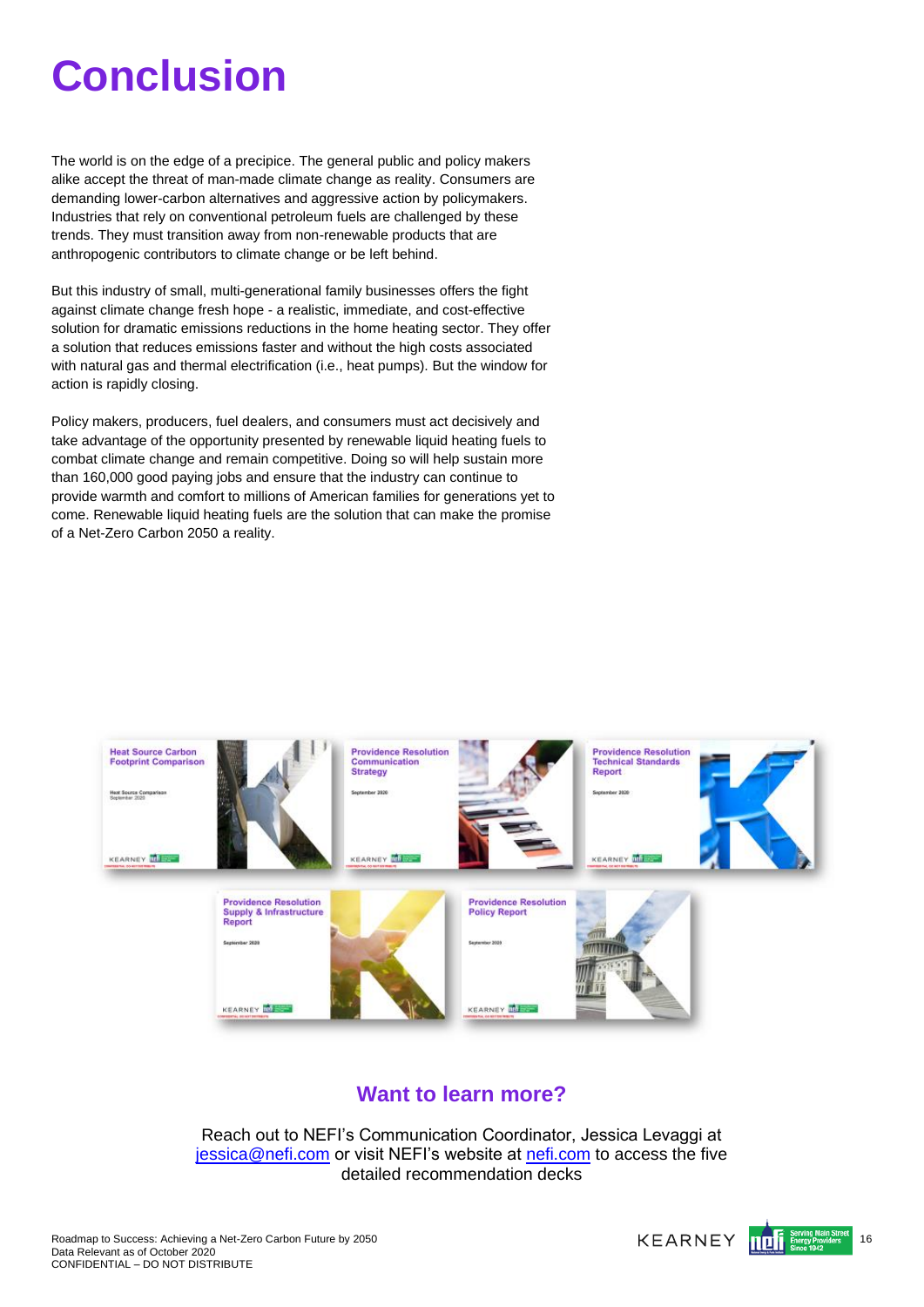# <span id="page-15-0"></span>**Conclusion**

The world is on the edge of a precipice. The general public and policy makers alike accept the threat of man-made climate change as reality. Consumers are demanding lower-carbon alternatives and aggressive action by policymakers. Industries that rely on conventional petroleum fuels are challenged by these trends. They must transition away from non-renewable products that are anthropogenic contributors to climate change or be left behind.

But this industry of small, multi-generational family businesses offers the fight against climate change fresh hope - a realistic, immediate, and cost-effective solution for dramatic emissions reductions in the home heating sector. They offer a solution that reduces emissions faster and without the high costs associated with natural gas and thermal electrification (i.e., heat pumps). But the window for action is rapidly closing.

Policy makers, producers, fuel dealers, and consumers must act decisively and take advantage of the opportunity presented by renewable liquid heating fuels to combat climate change and remain competitive. Doing so will help sustain more than 160,000 good paying jobs and ensure that the industry can continue to provide warmth and comfort to millions of American families for generations yet to come. Renewable liquid heating fuels are the solution that can make the promise of a Net-Zero Carbon 2050 a reality.



## **Want to learn more?**

Reach out to NEFI's Communication Coordinator, Jessica Levaggi at [jessica@nefi.com](mailto:jessica@nefi.com) or visit NEFI's website at [nefi.com](https://atkearney-my.sharepoint.com/personal/ikopyl01_atkearney_com/Documents/NEFI%20Proposal/11_White%20Paper/nefi.com) to access the five detailed recommendation decks

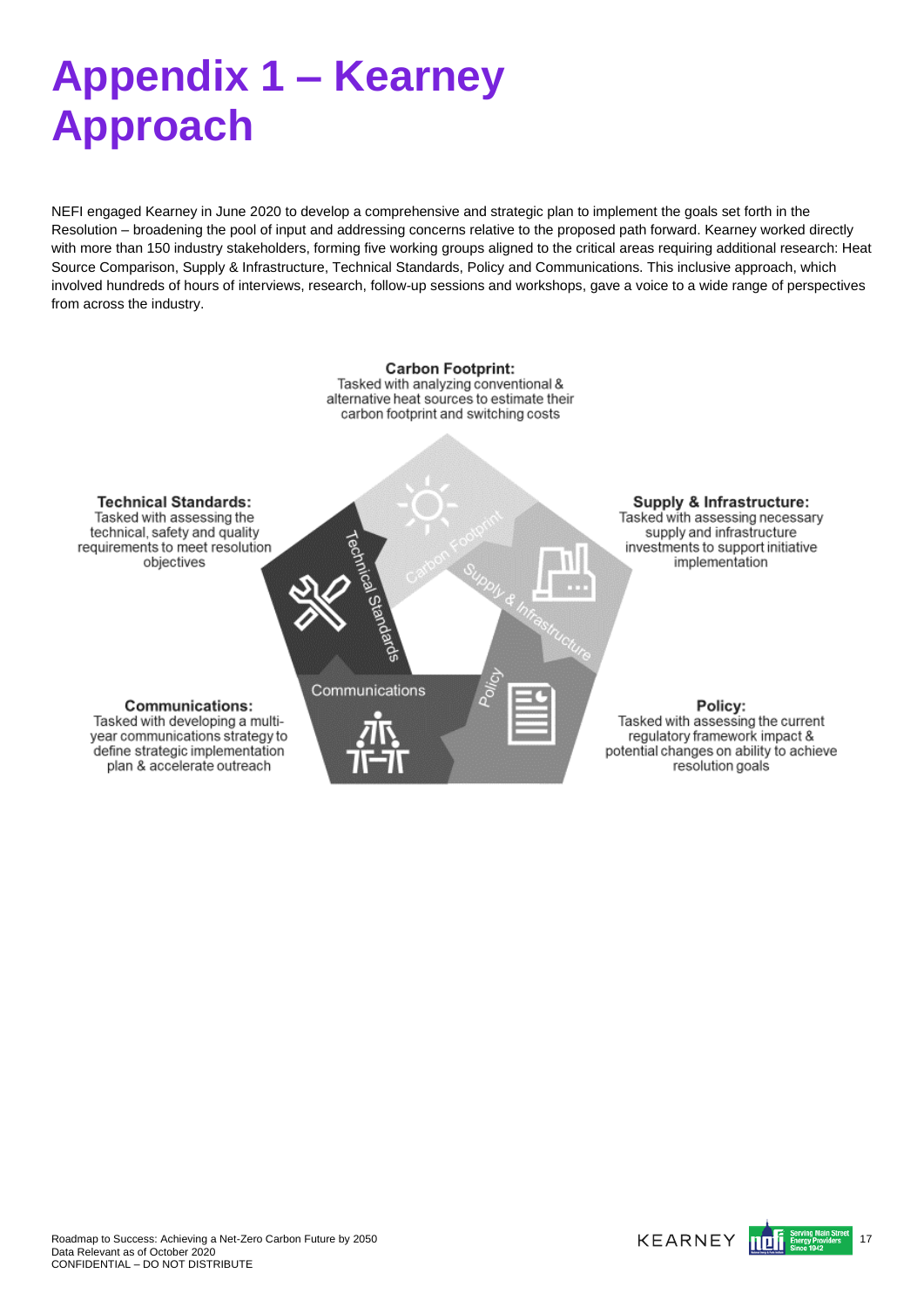# <span id="page-16-0"></span>**Appendix 1 – Kearney Approach**

NEFI engaged Kearney in June 2020 to develop a comprehensive and strategic plan to implement the goals set forth in the Resolution – broadening the pool of input and addressing concerns relative to the proposed path forward. Kearney worked directly with more than 150 industry stakeholders, forming five working groups aligned to the critical areas requiring additional research: Heat Source Comparison, Supply & Infrastructure, Technical Standards, Policy and Communications. This inclusive approach, which involved hundreds of hours of interviews, research, follow-up sessions and workshops, gave a voice to a wide range of perspectives from across the industry.